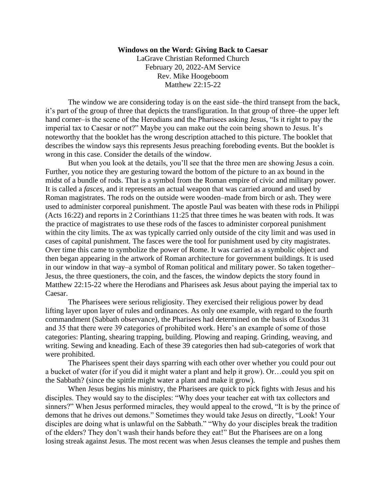## **Windows on the Word: Giving Back to Caesar**

LaGrave Christian Reformed Church February 20, 2022-AM Service Rev. Mike Hoogeboom Matthew 22:15-22

The window we are considering today is on the east side–the third transept from the back, it's part of the group of three that depicts the transfiguration. In that group of three–the upper left hand corner–is the scene of the Herodians and the Pharisees asking Jesus, "Is it right to pay the imperial tax to Caesar or not?" Maybe you can make out the coin being shown to Jesus. It's noteworthy that the booklet has the wrong description attached to this picture. The booklet that describes the window says this represents Jesus preaching foreboding events. But the booklet is wrong in this case. Consider the details of the window.

But when you look at the details, you'll see that the three men are showing Jesus a coin. Further, you notice they are gesturing toward the bottom of the picture to an ax bound in the midst of a bundle of rods. That is a symbol from the Roman empire of civic and military power. It is called a *fasces,* and it represents an actual weapon that was carried around and used by Roman magistrates. The rods on the outside were wooden–made from birch or ash. They were used to administer corporeal punishment. The apostle Paul was beaten with these rods in Philippi (Acts 16:22) and reports in 2 Corinthians 11:25 that three times he was beaten with rods. It was the practice of magistrates to use these rods of the fasces to administer corporeal punishment within the city limits. The ax was typically carried only outside of the city limit and was used in cases of capital punishment. The fasces were the tool for punishment used by city magistrates. Over time this came to symbolize the power of Rome. It was carried as a symbolic object and then began appearing in the artwork of Roman architecture for government buildings. It is used in our window in that way–a symbol of Roman political and military power. So taken together– Jesus, the three questioners, the coin, and the fasces, the window depicts the story found in Matthew 22:15-22 where the Herodians and Pharisees ask Jesus about paying the imperial tax to Caesar.

The Pharisees were serious religiosity. They exercised their religious power by dead lifting layer upon layer of rules and ordinances. As only one example, with regard to the fourth commandment (Sabbath observance), the Pharisees had determined on the basis of Exodus 31 and 35 that there were 39 categories of prohibited work. Here's an example of some of those categories: Planting, shearing trapping, building. Plowing and reaping. Grinding, weaving, and writing. Sewing and kneading. Each of these 39 categories then had sub-categories of work that were prohibited.

The Pharisees spent their days sparring with each other over whether you could pour out a bucket of water (for if you did it might water a plant and help it grow). Or…could you spit on the Sabbath? (since the spittle might water a plant and make it grow).

When Jesus begins his ministry, the Pharisees are quick to pick fights with Jesus and his disciples. They would say to the disciples: "Why does your teacher eat with tax collectors and sinners?" When Jesus performed miracles, they would appeal to the crowd, "It is by the prince of demons that he drives out demons." Sometimes they would take Jesus on directly, "Look! Your disciples are doing what is unlawful on the Sabbath." "Why do your disciples break the tradition of the elders? They don't wash their hands before they eat!" But the Pharisees are on a long losing streak against Jesus. The most recent was when Jesus cleanses the temple and pushes them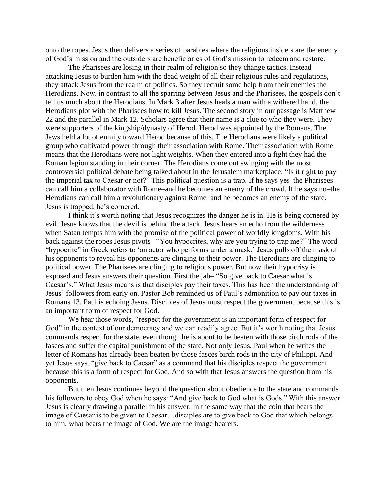onto the ropes. Jesus then delivers a series of parables where the religious insiders are the enemy of God's mission and the outsiders are beneficiaries of God's mission to redeem and restore.

The Pharisees are losing in their realm of religion so they change tactics. Instead attacking Jesus to burden him with the dead weight of all their religious rules and regulations, they attack Jesus from the realm of politics. So they recruit some help from their enemies the Herodians. Now, in contrast to all the sparring between Jesus and the Pharisees, the gospels don't tell us much about the Herodians. In Mark 3 after Jesus heals a man with a withered hand, the Herodians plot with the Pharisees how to kill Jesus. The second story in our passage is Matthew 22 and the parallel in Mark 12. Scholars agree that their name is a clue to who they were. They were supporters of the kingship/dynasty of Herod. Herod was appointed by the Romans. The Jews held a lot of enmity toward Herod because of this. The Herodians were likely a political group who cultivated power through their association with Rome. Their association with Rome means that the Herodians were not light weights. When they entered into a fight they had the Roman legion standing in their corner. The Herodians come out swinging with the most controversial political debate being talked about in the Jerusalem marketplace: "Is it right to pay the imperial tax to Caesar or not?" This political question is a trap. If he says yes–the Pharisees can call him a collaborator with Rome–and he becomes an enemy of the crowd. If he says no–the Herodians can call him a revolutionary against Rome–and he becomes an enemy of the state. Jesus is trapped, he's cornered.

I think it's worth noting that Jesus recognizes the danger he is in. He is being cornered by evil. Jesus knows that the devil is behind the attack. Jesus hears an echo from the wilderness when Satan tempts him with the promise of the political power of worldly kingdoms. With his back against the ropes Jesus pivots– "You hypocrites, why are you trying to trap me?" The word "hypocrite" in Greek refers to 'an actor who performs under a mask.' Jesus pulls off the mask of his opponents to reveal his opponents are clinging to their power. The Herodians are clinging to political power. The Pharisees are clinging to religious power. But now their hypocrisy is exposed and Jesus answers their question. First the jab– "So give back to Caesar what is Caesar's." What Jesus means is that disciples pay their taxes. This has been the understanding of Jesus' followers from early on. Pastor Bob reminded us of Paul's admonition to pay our taxes in Romans 13. Paul is echoing Jesus. Disciples of Jesus must respect the government because this is an important form of respect for God.

We hear those words, "respect for the government is an important form of respect for God" in the context of our democracy and we can readily agree. But it's worth noting that Jesus commands respect for the state, even though he is about to be beaten with those birch rods of the fasces and suffer the capital punishment of the state. Not only Jesus, Paul when he writes the letter of Romans has already been beaten by those fasces birch rods in the city of Philippi. And yet Jesus says, "give back to Caesar" as a command that his disciples respect the government because this is a form of respect for God. And so with that Jesus answers the question from his opponents.

But then Jesus continues beyond the question about obedience to the state and commands his followers to obey God when he says: "And give back to God what is Gods." With this answer Jesus is clearly drawing a parallel in his answer. In the same way that the coin that bears the image of Caesar is to be given to Caesar…disciples are to give back to God that which belongs to him, what bears the image of God. We are the image bearers.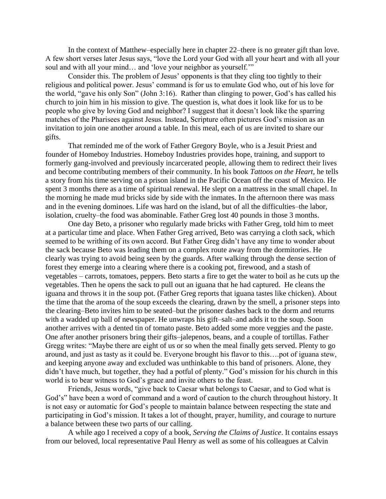In the context of Matthew–especially here in chapter 22–there is no greater gift than love. A few short verses later Jesus says, "love the Lord your God with all your heart and with all your soul and with all your mind... and 'love your neighbor as yourself.'"

Consider this. The problem of Jesus' opponents is that they cling too tightly to their religious and political power. Jesus' command is for us to emulate God who, out of his love for the world, "gave his only Son" (John 3:16). Rather than clinging to power, God's has called his church to join him in his mission to give. The question is, what does it look like for us to be people who give by loving God and neighbor? I suggest that it doesn't look like the sparring matches of the Pharisees against Jesus. Instead, Scripture often pictures God's mission as an invitation to join one another around a table. In this meal, each of us are invited to share our gifts.

That reminded me of the work of Father Gregory Boyle, who is a Jesuit Priest and founder of Homeboy Industries. Homeboy Industries provides hope, training, and support to formerly gang-involved and previously incarcerated people, allowing them to redirect their lives and become contributing members of their community. In his book *Tattoos on the Heart,* he tells a story from his time serving on a prison island in the Pacific Ocean off the coast of Mexico. He spent 3 months there as a time of spiritual renewal. He slept on a mattress in the small chapel. In the morning he made mud bricks side by side with the inmates. In the afternoon there was mass and in the evening dominoes. Life was hard on the island, but of all the difficulties–the labor, isolation, cruelty–the food was abominable. Father Greg lost 40 pounds in those 3 months.

One day Beto, a prisoner who regularly made bricks with Father Greg, told him to meet at a particular time and place. When Father Greg arrived, Beto was carrying a cloth sack, which seemed to be writhing of its own accord. But Father Greg didn't have any time to wonder about the sack because Beto was leading them on a complex route away from the dormitories. He clearly was trying to avoid being seen by the guards. After walking through the dense section of forest they emerge into a clearing where there is a cooking pot, firewood, and a stash of vegetables – carrots, tomatoes, peppers. Beto starts a fire to get the water to boil as he cuts up the vegetables. Then he opens the sack to pull out an iguana that he had captured. He cleans the iguana and throws it in the soup pot. (Father Greg reports that iguana tastes like chicken). About the time that the aroma of the soup exceeds the clearing, drawn by the smell, a prisoner steps into the clearing–Beto invites him to be seated–but the prisoner dashes back to the dorm and returns with a wadded up ball of newspaper. He unwraps his gift–salt–and adds it to the soup. Soon another arrives with a dented tin of tomato paste. Beto added some more veggies and the paste. One after another prisoners bring their gifts–jalepenos, beans, and a couple of tortillas. Father Gregg writes: "Maybe there are eight of us or so when the meal finally gets served. Plenty to go around, and just as tasty as it could be. Everyone brought his flavor to this….pot of iguana stew, and keeping anyone away and excluded was unthinkable to this band of prisoners. Alone, they didn't have much, but together, they had a potful of plenty." God's mission for his church in this world is to bear witness to God's grace and invite others to the feast.

Friends, Jesus words, "give back to Caesar what belongs to Caesar, and to God what is God's" have been a word of command and a word of caution to the church throughout history. It is not easy or automatic for God's people to maintain balance between respecting the state and participating in God's mission. It takes a lot of thought, prayer, humility, and courage to nurture a balance between these two parts of our calling.

A while ago I received a copy of a book, *Serving the Claims of Justice*. It contains essays from our beloved, local representative Paul Henry as well as some of his colleagues at Calvin